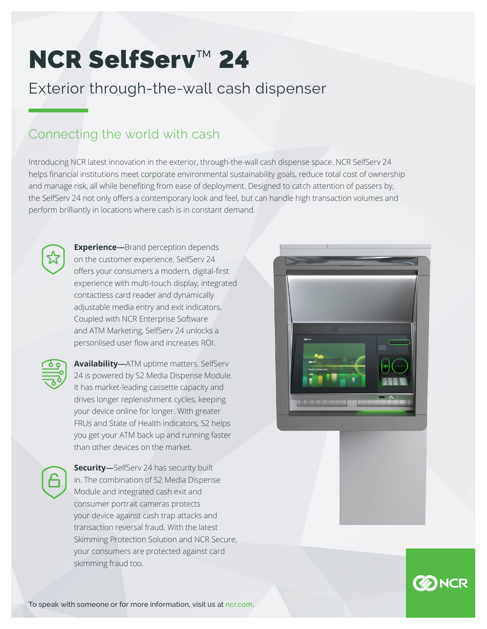# NCR SelfServ™ 24

# Exterior through-the-wall cash dispenser

## Connecting the world with cash

Introducing NCR latest innovation in the exterior, through-the-wall cash dispense space. NCR SelfServ 24 helps financial institutions meet corporate environmental sustainability goals, reduce total cost of ownership and manage risk, all while benefiting from ease of deployment. Designed to catch attention of passers by, the SelfServ 24 not only offers a contemporary look and feel, but can handle high transaction volumes and perform brilliantly in locations where cash is in constant demand.



**Experience—**Brand perception depends on the customer experience. SelfServ 24 offers your consumers a modern, digital-first experience with multi-touch display, integrated contactless card reader and dynamically adjustable media entry and exit indicators. Coupled with NCR Enterprise Software and ATM Marketing, SelfServ 24 unlocks a personlised user flow and increases ROI.



**Availability—**ATM uptime matters. SelfServ 24 is powered by S2 Media Dispense Module. It has market-leading cassette capacity and drives longer replenishment cycles, keeping your device online for longer. With greater FRUs and State of Health indicators, S2 helps you get your ATM back up and running faster than other devices on the market.



**Security—**SelfServ 24 has security built in. The combination of S2 Media Dispense Module and integrated cash exit and consumer portrait cameras protects your device against cash trap attacks and transaction reversal fraud. With the latest Skimming Protection Solution and NCR Secure, your consumers are protected against card skimming fraud too.